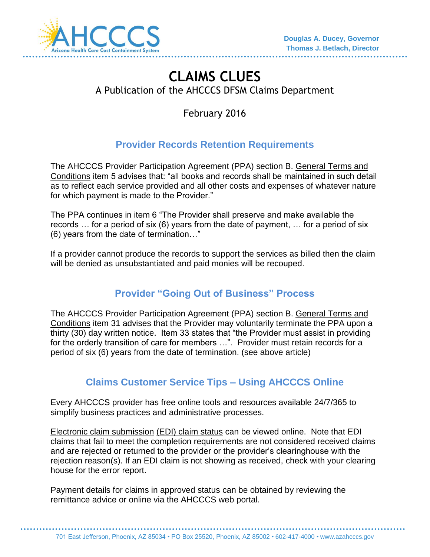

# **CLAIMS CLUES**  A Publication of the AHCCCS DFSM Claims Department

February 2016

## **Provider Records Retention Requirements**

The AHCCCS Provider Participation Agreement (PPA) section B. General Terms and Conditions item 5 advises that: "all books and records shall be maintained in such detail as to reflect each service provided and all other costs and expenses of whatever nature for which payment is made to the Provider."

The PPA continues in item 6 "The Provider shall preserve and make available the records … for a period of six (6) years from the date of payment, … for a period of six (6) years from the date of termination…"

If a provider cannot produce the records to support the services as billed then the claim will be denied as unsubstantiated and paid monies will be recouped.

## **Provider "Going Out of Business" Process**

The AHCCCS Provider Participation Agreement (PPA) section B. General Terms and Conditions item 31 advises that the Provider may voluntarily terminate the PPA upon a thirty (30) day written notice. Item 33 states that "the Provider must assist in providing for the orderly transition of care for members …". Provider must retain records for a period of six (6) years from the date of termination. (see above article)

#### **Claims Customer Service Tips – Using AHCCCS Online**

Every AHCCCS provider has free online tools and resources available 24/7/365 to simplify business practices and administrative processes.

Electronic claim submission (EDI) claim status can be viewed online. Note that EDI claims that fail to meet the completion requirements are not considered received claims and are rejected or returned to the provider or the provider's clearinghouse with the rejection reason(s). If an EDI claim is not showing as received, check with your clearing house for the error report.

Payment details for claims in approved status can be obtained by reviewing the remittance advice or online via the AHCCCS web portal.